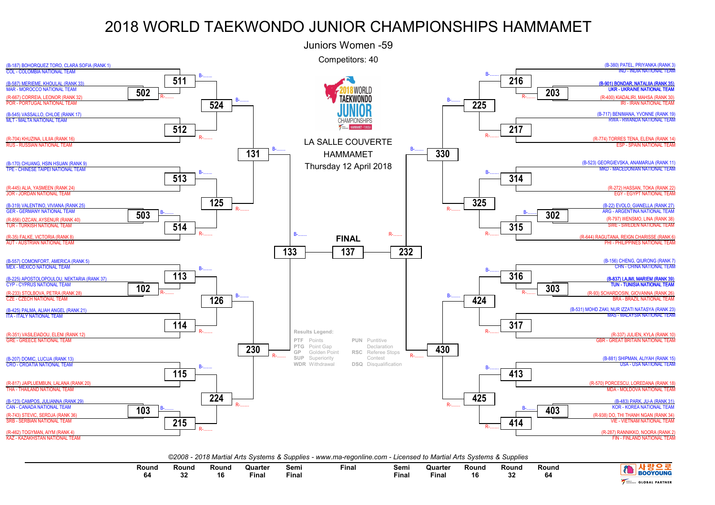

*©2008 - 2018 Martial Arts Systems & Supplies - www.ma-regonline.com - Licensed to Martial Arts Systems & Supplies*

| Round | Round<br>- 22 | Round<br>"<br>10 | Quarteı<br>Fina. | Semi<br>Final | Fina. | Semi<br>Final | Quarter<br>Final | Round<br>16 | Round<br>nn. | Round<br>64 | <b>YOUN</b>           |
|-------|---------------|------------------|------------------|---------------|-------|---------------|------------------|-------------|--------------|-------------|-----------------------|
| יט    | ັ             |                  |                  |               |       |               |                  |             | JZ           |             | <b>GLOBAL PARTNER</b> |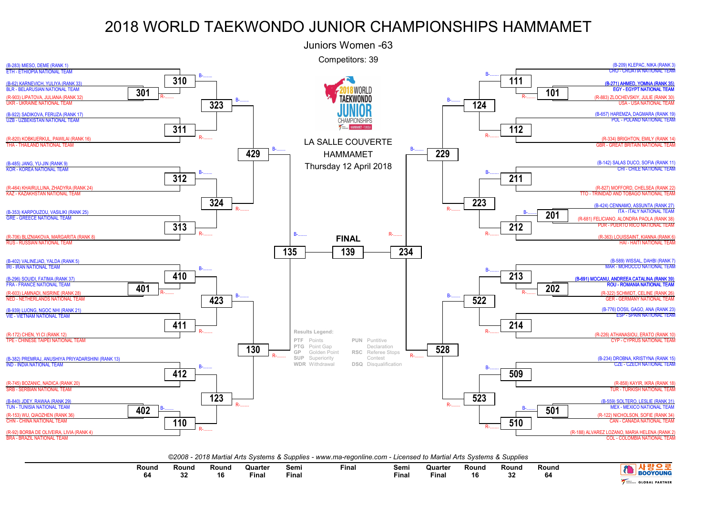

| Round<br>04 | Round | Rounc<br>16 | Quarter<br>the contract of the contract of the contract of<br>Fina | Semi<br>Final | Final | Semi<br>Fina. | Quarter<br>Finai | Round<br>16 | Round<br>$\sim$<br>οz | Round | <b>BOOYOUNG</b>       |
|-------------|-------|-------------|--------------------------------------------------------------------|---------------|-------|---------------|------------------|-------------|-----------------------|-------|-----------------------|
|             |       |             |                                                                    |               |       |               |                  |             |                       |       | <b>GLOBAL PARTNER</b> |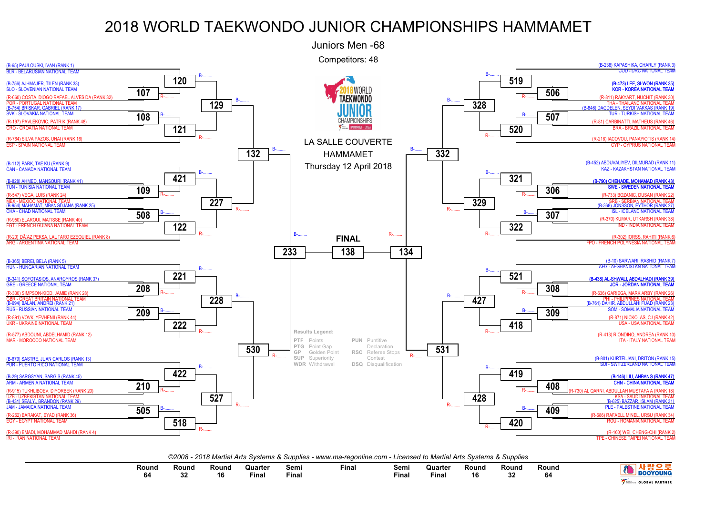

*©2008 - 2018 Martial Arts Systems & Supplies - www.ma-regonline.com - Licensed to Martial Arts Systems & Supplies*

|  | Round<br>64 | Round<br>ົ<br>- Je | Round<br>16 | Quarter<br>the contract of the contract of the contract of<br>Final | Semi<br>Final | Final | Sem.<br>Final | Quarter<br>Fina. | Round<br>16 | Round<br>$\sim$<br>32 | Round | <b>YOUNG</b><br><b>GLOBAL PARTNER</b> |
|--|-------------|--------------------|-------------|---------------------------------------------------------------------|---------------|-------|---------------|------------------|-------------|-----------------------|-------|---------------------------------------|
|--|-------------|--------------------|-------------|---------------------------------------------------------------------|---------------|-------|---------------|------------------|-------------|-----------------------|-------|---------------------------------------|